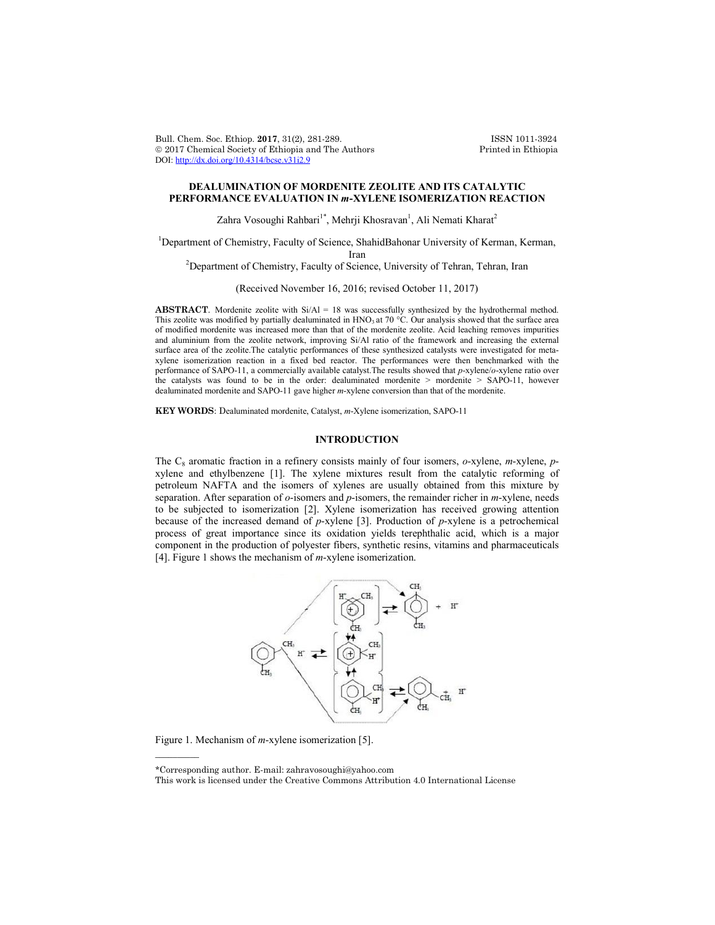Bull. Chem. Soc. Ethiop. **2017**, 31(2), 281-289. ISSN 1011-3924 2017 Chemical Society of Ethiopia and The Authors Printed in Ethiopia DOI: http://dx.doi.org/10.4314/bcse.v31i2.9

# **DEALUMINATION OF MORDENITE ZEOLITE AND ITS CATALYTIC PERFORMANCE EVALUATION IN** *m***-XYLENE ISOMERIZATION REACTION**

Zahra Vosoughi Rahbari<sup>1\*</sup>, Mehrji Khosravan<sup>1</sup>, Ali Nemati Kharat<sup>2</sup>

<sup>1</sup>Department of Chemistry, Faculty of Science, ShahidBahonar University of Kerman, Kerman, Iran<br><sup>2</sup> Department of Chemistry, Faculty of Science, University of Tehran, Tehran, Iran<sup>2</sup>

(Received November 16, 2016; revised October 11, 2017)

**ABSTRACT**. Mordenite zeolite with Si/Al = 18 was successfully synthesized by the hydrothermal method. This zeolite was modified by partially dealuminated in HNO<sub>3</sub> at 70 °C. Our analysis showed that the surface area of modified mordenite was increased more than that of the mordenite zeolite. Acid leaching removes impurities and aluminium from the zeolite network, improving Si/Al ratio of the framework and increasing the external surface area of the zeolite.The catalytic performances of these synthesized catalysts were investigated for metaxylene isomerization reaction in a fixed bed reactor. The performances were then benchmarked with the performance of SAPO-11, a commercially available catalyst.The results showed that *p*-xylene/*o*-xylene ratio over the catalysts was found to be in the order: dealuminated mordenite > mordenite > SAPO-11, however dealuminated mordenite and SAPO-11 gave higher *m*-xylene conversion than that of the mordenite.

**KEY WORDS**: Dealuminated mordenite, Catalyst, *m*-Xylene isomerization, SAPO-11

# **INTRODUCTION**

The C<sub>8</sub> aromatic fraction in a refinery consists mainly of four isomers, *o*-xylene, *m*-xylene, *p*xylene and ethylbenzene [1]. The xylene mixtures result from the catalytic reforming of petroleum NAFTA and the isomers of xylenes are usually obtained from this mixture by separation. After separation of *o*-isomers and *p*-isomers, the remainder richer in *m*-xylene, needs to be subjected to isomerization [2]. Xylene isomerization has received growing attention because of the increased demand of *p*-xylene [3]. Production of *p*-xylene is a petrochemical process of great importance since its oxidation yields terephthalic acid, which is a major component in the production of polyester fibers, synthetic resins, vitamins and pharmaceuticals [4]. Figure 1 shows the mechanism of *m*-xylene isomerization.



Figure 1. Mechanism of *m*-xylene isomerization [5].

 $\overline{\phantom{a}}$ 

<sup>\*</sup>Corresponding author. E-mail: zahravosoughi@yahoo.com

This work is licensed under the Creative Commons Attribution 4.0 International License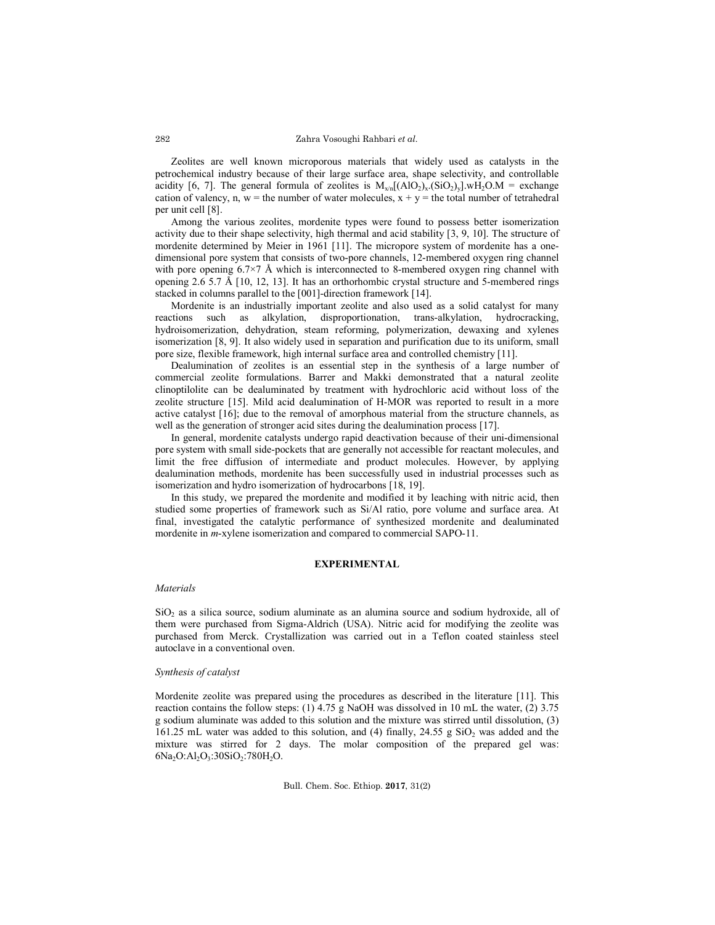### Zahra Vosoughi Rahbari *et al.*

Zeolites are well known microporous materials that widely used as catalysts in the petrochemical industry because of their large surface area, shape selectivity, and controllable acidity [6, 7]. The general formula of zeolites is  $M_{x/n}[(AIO_2)_x.(SiO_2)_y].wH_2O.M =$  exchange cation of valency, n,  $w =$  the number of water molecules,  $x + y =$  the total number of tetrahedral per unit cell [8].

Among the various zeolites, mordenite types were found to possess better isomerization activity due to their shape selectivity, high thermal and acid stability [3, 9, 10]. The structure of mordenite determined by Meier in 1961 [11]. The micropore system of mordenite has a onedimensional pore system that consists of two-pore channels, 12-membered oxygen ring channel with pore opening  $6.7 \times 7$  Å which is interconnected to 8-membered oxygen ring channel with opening  $2.6$  5.7 Å [10, 12, 13]. It has an orthorhombic crystal structure and 5-membered rings stacked in columns parallel to the [001]-direction framework [14].

Mordenite is an industrially important zeolite and also used as a solid catalyst for many reactions such as alkylation, disproportionation, trans-alkylation, hydrocracking, hydroisomerization, dehydration, steam reforming, polymerization, dewaxing and xylenes isomerization [8, 9]. It also widely used in separation and purification due to its uniform, small pore size, flexible framework, high internal surface area and controlled chemistry [11].

Dealumination of zeolites is an essential step in the synthesis of a large number of commercial zeolite formulations. Barrer and Makki demonstrated that a natural zeolite clinoptilolite can be dealuminated by treatment with hydrochloric acid without loss of the zeolite structure [15]. Mild acid dealumination of H-MOR was reported to result in a more active catalyst [16]; due to the removal of amorphous material from the structure channels, as well as the generation of stronger acid sites during the dealumination process [17].

In general, mordenite catalysts undergo rapid deactivation because of their uni-dimensional pore system with small side-pockets that are generally not accessible for reactant molecules, and limit the free diffusion of intermediate and product molecules. However, by applying dealumination methods, mordenite has been successfully used in industrial processes such as isomerization and hydro isomerization of hydrocarbons [18, 19].

In this study, we prepared the mordenite and modified it by leaching with nitric acid, then studied some properties of framework such as Si/Al ratio, pore volume and surface area. At final, investigated the catalytic performance of synthesized mordenite and dealuminated mordenite in *m*-xylene isomerization and compared to commercial SAPO-11.

### **EXPERIMENTAL**

#### *Materials*

 $SiO<sub>2</sub>$  as a silica source, sodium aluminate as an alumina source and sodium hydroxide, all of them were purchased from Sigma-Aldrich (USA). Nitric acid for modifying the zeolite was purchased from Merck. Crystallization was carried out in a Teflon coated stainless steel autoclave in a conventional oven.

### *Synthesis of catalyst*

Mordenite zeolite was prepared using the procedures as described in the literature [11]. This reaction contains the follow steps: (1) 4.75 g NaOH was dissolved in 10 mL the water, (2) 3.75 g sodium aluminate was added to this solution and the mixture was stirred until dissolution, (3) 161.25 mL water was added to this solution, and (4) finally,  $24.55$  g  $SiO<sub>2</sub>$  was added and the mixture was stirred for 2 days. The molar composition of the prepared gel was:  $6Na<sub>2</sub>O:Al<sub>2</sub>O<sub>3</sub>:30SiO<sub>2</sub>:780H<sub>2</sub>O.$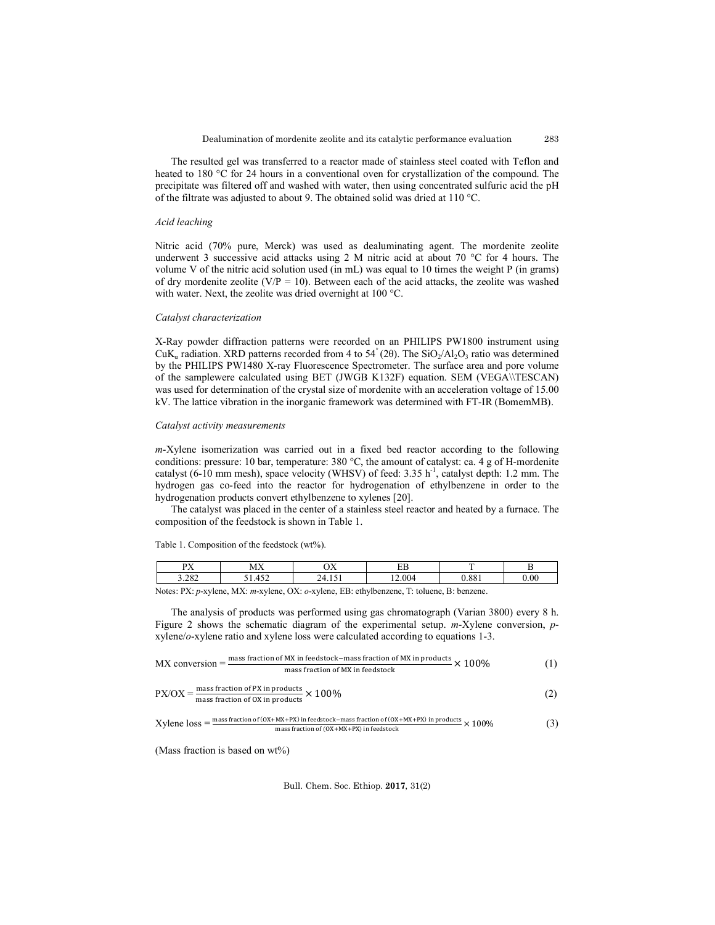The resulted gel was transferred to a reactor made of stainless steel coated with Teflon and heated to 180 °C for 24 hours in a conventional oven for crystallization of the compound. The precipitate was filtered off and washed with water, then using concentrated sulfuric acid the pH of the filtrate was adjusted to about 9. The obtained solid was dried at 110 °C.

### *Acid leaching*

Nitric acid (70% pure, Merck) was used as dealuminating agent. The mordenite zeolite underwent 3 successive acid attacks using 2 M nitric acid at about 70 °C for 4 hours. The volume V of the nitric acid solution used (in mL) was equal to 10 times the weight P (in grams) of dry mordenite zeolite ( $V/P = 10$ ). Between each of the acid attacks, the zeolite was washed with water. Next, the zeolite was dried overnight at 100 °C.

#### *Catalyst characterization*

X-Ray powder diffraction patterns were recorded on an PHILIPS PW1800 instrument using CuK<sub>a</sub> radiation. XRD patterns recorded from 4 to 54° (20). The SiO<sub>2</sub>/Al<sub>2</sub>O<sub>3</sub> ratio was determined by the PHILIPS PW1480 X-ray Fluorescence Spectrometer. The surface area and pore volume of the samplewere calculated using BET (JWGB K132F) equation. SEM (VEGA\\TESCAN) was used for determination of the crystal size of mordenite with an acceleration voltage of 15.00 kV. The lattice vibration in the inorganic framework was determined with FT-IR (BomemMB).

### *Catalyst activity measurements*

*m*-Xylene isomerization was carried out in a fixed bed reactor according to the following conditions: pressure: 10 bar, temperature: 380 °C, the amount of catalyst: ca. 4 g of H-mordenite catalyst (6-10 mm mesh), space velocity (WHSV) of feed: 3.35 h<sup>-1</sup>, catalyst depth: 1.2 mm. The hydrogen gas co-feed into the reactor for hydrogenation of ethylbenzene in order to the hydrogenation products convert ethylbenzene to xylenes [20].

The catalyst was placed in the center of a stainless steel reactor and heated by a furnace. The composition of the feedstock is shown in Table 1.

### Table 1. Composition of the feedstock (wt%).

| $n\bar{v}$<br>.<br>2.202<br>3.202 |      | MX     |  |      | $\mathbf{v}$<br>ັ |        |  | n r<br>ப |      | <b>COMPOS</b> |     |  |
|-----------------------------------|------|--------|--|------|-------------------|--------|--|----------|------|---------------|-----|--|
|                                   |      | $\sim$ |  |      | $\sim$            |        |  | $\Omega$ |      | $\Omega$      | .00 |  |
| $\sim$ $\sim$                     | $-1$ | $  -$  |  | $-2$ |                   | $\sim$ |  |          | $-1$ | $\sim$ $\sim$ |     |  |

Notes: PX: *p*-xylene, MX: *m*-xylene, OX: *o*-xylene, EB: ethylbenzene, T: toluene, B: benzene.

The analysis of products was performed using gas chromatograph (Varian 3800) every 8 h. Figure 2 shows the schematic diagram of the experimental setup. *m*-Xylene conversion, *p*xylene/*o*-xylene ratio and xylene loss were calculated according to equations 1-3.

| $MX$ conversion $=$ | mass fraction of MX in feedstock–mass fraction of MX in products $\times\,100\%$               |  |
|---------------------|------------------------------------------------------------------------------------------------|--|
|                     | mass fraction of MX in feedstock                                                               |  |
|                     | $PX/OX = \frac{mass fraction of PX in products}{mass fraction of OX in products} \times 100\%$ |  |
|                     |                                                                                                |  |

 $X$ ylene  $loss = \frac{mass fraction of (0X+MX+PX) \text{ in feedstock-mass fraction of } (0X+MX+PX) \text{ in products}}{mass fraction of (0X+MX+PX) \text{ in feedback}} \times 100\%$  (3)

(Mass fraction is based on wt%)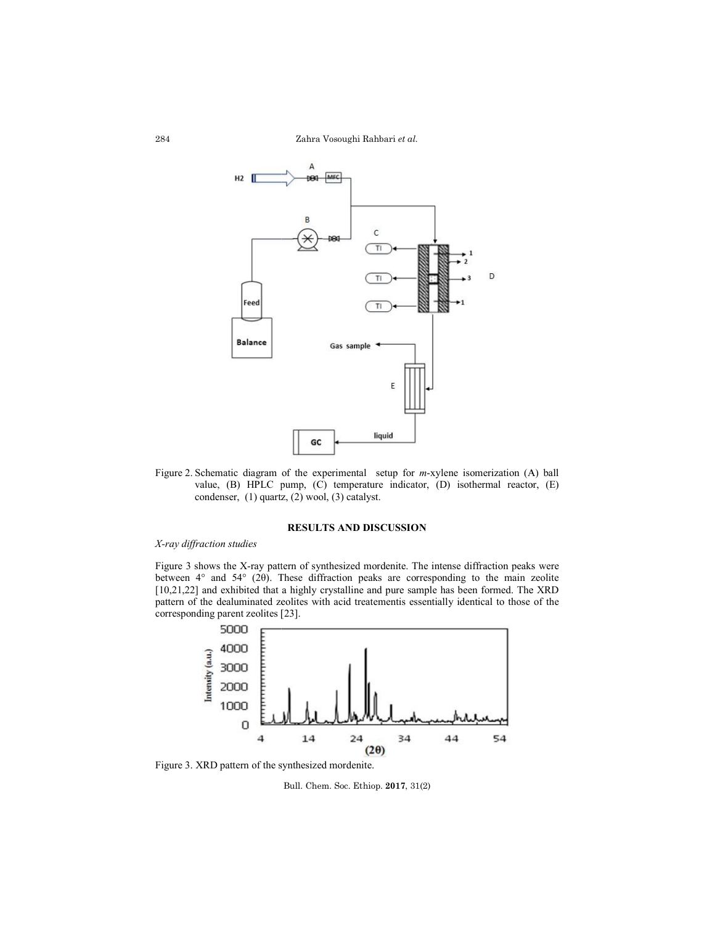Zahra Vosoughi Rahbari *et al.*



Figure 2. Schematic diagram of the experimental setup for *m*-xylene isomerization (A) ball value, (B) HPLC pump, (C) temperature indicator, (D) isothermal reactor, (E) condenser, (1) quartz, (2) wool, (3) catalyst. condenser,  $(1)$  quartz,  $(2)$  wool,  $(3)$  catalyst.

# **RESULTS AND DISCUSSION**

# *X-ray diffraction studies*

Figure 3 shows the X-ray pattern of synthesized mordenite. The intense diffraction peaks were Figure 3 shows the X-ray pattern of synthesized mordenite. The intense diffraction peaks were between  $4^{\circ}$  and  $54^{\circ}$  (2θ). These diffraction peaks are corresponding to the main zeolite [10,21,22] and exhibited that a highly crystalline and pure sample has been formed. The XRD [10,21,22] and exhibited that a highly crystalline and pure sample has been formed. The XRD pattern of the dealuminated zeolites with acid treatementis essentially identical to those of the corresponding parent zeolites [2 [23]. value, (B) HPLC pump, (C) temperature indicator, (D) isothermal<br>condenser, (1) quartz, (2) wool, (3) catalyst.<br>**RESULTS AND DISCUSSION**<br> $\hat{r}$  action studies<br>shows the X-ray pattern of synthesized mordenite. The intense



Figure 3. XRD pattern of the synthesized mordenite.

Bull. Chem. Soc. Ethiop. **2017**, 31(2)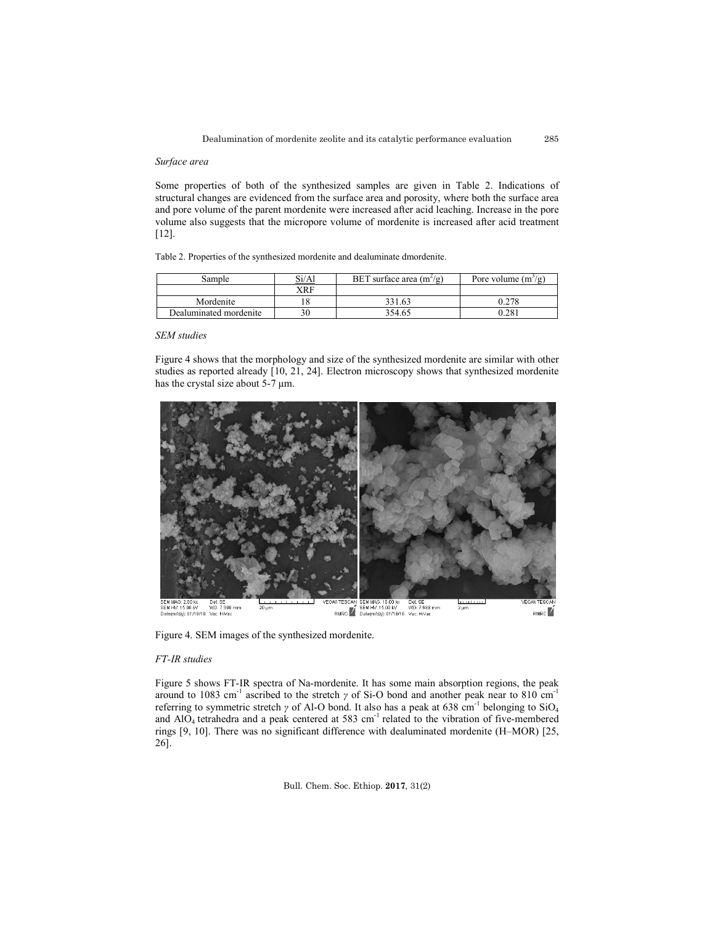#### *Surface area*

Some properties of both of the synthesized samples are given in Table 2. Indications of structural changes are evidenced from the surface area and porosity, where both the surface area and pore volume of the parent mordenite were increased after acid leaching. Increase in the pore volume also suggests that the micropore volume of mordenite is increased after acid treatment [12].

Table 2. Properties of the synthesized mordenite and dealuminate dmordenite.

| Sample                 | Si/Al | BET surface area $(m^2/g)$ | Pore volume $(m^2/g)$ |  |  |
|------------------------|-------|----------------------------|-----------------------|--|--|
|                        | XRF   |                            |                       |  |  |
| Mordenite              |       | 331.63                     |                       |  |  |
| Dealuminated mordenite |       | 354.65                     | $0.28^{\circ}$        |  |  |

#### *SEM studies*

Figure 4 shows that the morphology and size of the synthesized mordenite are similar with other studies as reported already [10, 21, 24]. Electron microscopy shows that synthesized mordenite has the crystal size about 5-7 μm.



Figure 4. SEM images of the synthesized mordenite.

#### *FT-IR studies*

Figure 5 shows FT-IR spectra of Na-mordenite. It has some main absorption regions, the peak around to 1083 cm<sup>-1</sup> ascribed to the stretch *γ* of Si-O bond and another peak near to 810 cm<sup>-1</sup> referring to symmetric stretch *γ* of Al-O bond. It also has a peak at 638 cm<sup>-1</sup> belonging to SiO<sub>4</sub> and  $AIO<sub>4</sub>$  tetrahedra and a peak centered at 583 cm<sup>-1</sup> related to the vibration of five-membered rings [9, 10]. There was no significant difference with dealuminated mordenite (H–MOR) [25, 26].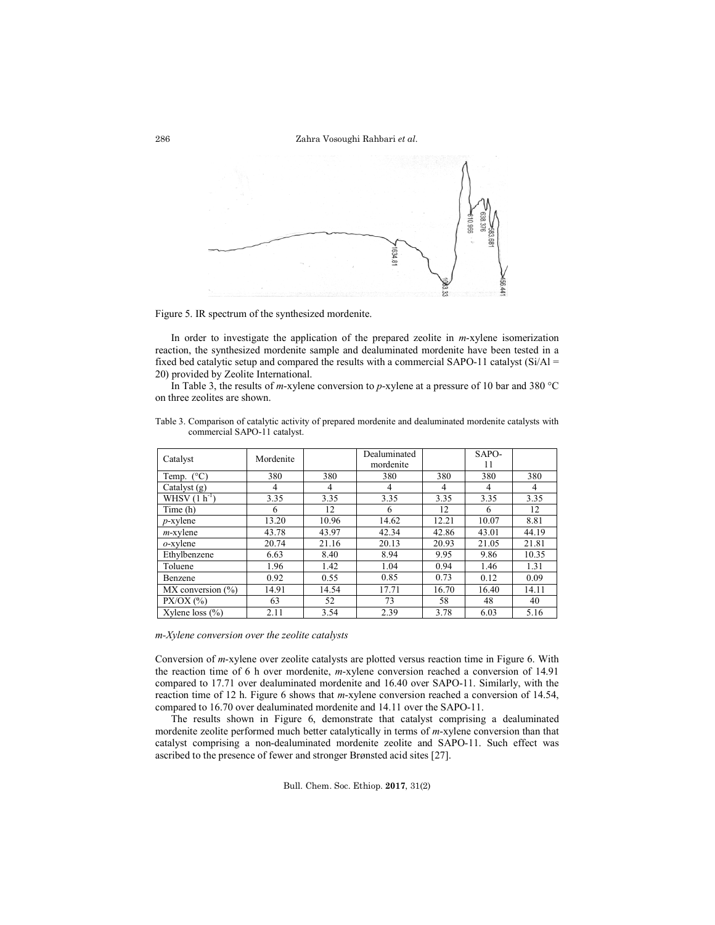

Figure 5. IR spectrum of the synthesized mordenite.

In order to investigate the application of the prepared zeolite in *m*-xylene isomerization reaction, the synthesized mordenite sample and dealuminated mordenite have been tested in a fixed bed catalytic setup and compared the results with a commercial SAPO-11 catalyst  $(Si/A)$  = 20) provided by Zeolite International.

In Table 3, the results of *m*-xylene conversion to *p*-xylene at a pressure of 10 bar and 380 °C on three zeolites are shown.

| Catalyst                | Mordenite |       | Dealuminated<br>mordenite |       | SAPO-<br>11 |       |
|-------------------------|-----------|-------|---------------------------|-------|-------------|-------|
| Temp. $(^{\circ}C)$     | 380       | 380   | 380                       | 380   | 380         | 380   |
| Catalyst $(g)$          | 4         | 4     | 4                         | 4     | 4           | 4     |
| WHSV $(1 h^{-1})$       | 3.35      | 3.35  | 3.35                      | 3.35  | 3.35        | 3.35  |
| Time (h)                | 6         | 12    | 6                         | 12    | 6           | 12    |
| $p$ -xylene             | 13.20     | 10.96 | 14.62                     | 12.21 | 10.07       | 8.81  |
| $m$ -xylene             | 43.78     | 43.97 | 42.34                     | 42.86 | 43.01       | 44.19 |
| $o$ -xylene             | 20.74     | 21.16 | 20.13                     | 20.93 | 21.05       | 21.81 |
| Ethylbenzene            | 6.63      | 8.40  | 8.94                      | 9.95  | 9.86        | 10.35 |
| Toluene                 | 1.96      | 1.42  | 1.04                      | 0.94  | 1.46        | 1.31  |
| Benzene                 | 0.92      | 0.55  | 0.85                      | 0.73  | 0.12        | 0.09  |
| $MX$ conversion $(\% )$ | 14.91     | 14.54 | 17.71                     | 16.70 | 16.40       | 14.11 |
| $PX/OX$ (%)             | 63        | 52    | 73                        | 58    | 48          | 40    |
| Xylene loss $(\% )$     | 2.11      | 3.54  | 2.39                      | 3.78  | 6.03        | 5.16  |

Table 3. Comparison of catalytic activity of prepared mordenite and dealuminated mordenite catalysts with commercial SAPO-11 catalyst.

*m-Xylene conversion over the zeolite catalysts*

Conversion of *m*-xylene over zeolite catalysts are plotted versus reaction time in Figure 6. With the reaction time of 6 h over mordenite, *m*-xylene conversion reached a conversion of 14.91 compared to 17.71 over dealuminated mordenite and 16.40 over SAPO-11. Similarly, with the reaction time of 12 h. Figure 6 shows that *m*-xylene conversion reached a conversion of 14.54, compared to 16.70 over dealuminated mordenite and 14.11 over the SAPO-11.

The results shown in Figure 6, demonstrate that catalyst comprising a dealuminated mordenite zeolite performed much better catalytically in terms of *m*-xylene conversion than that catalyst comprising a non-dealuminated mordenite zeolite and SAPO-11. Such effect was ascribed to the presence of fewer and stronger Brønsted acid sites [27].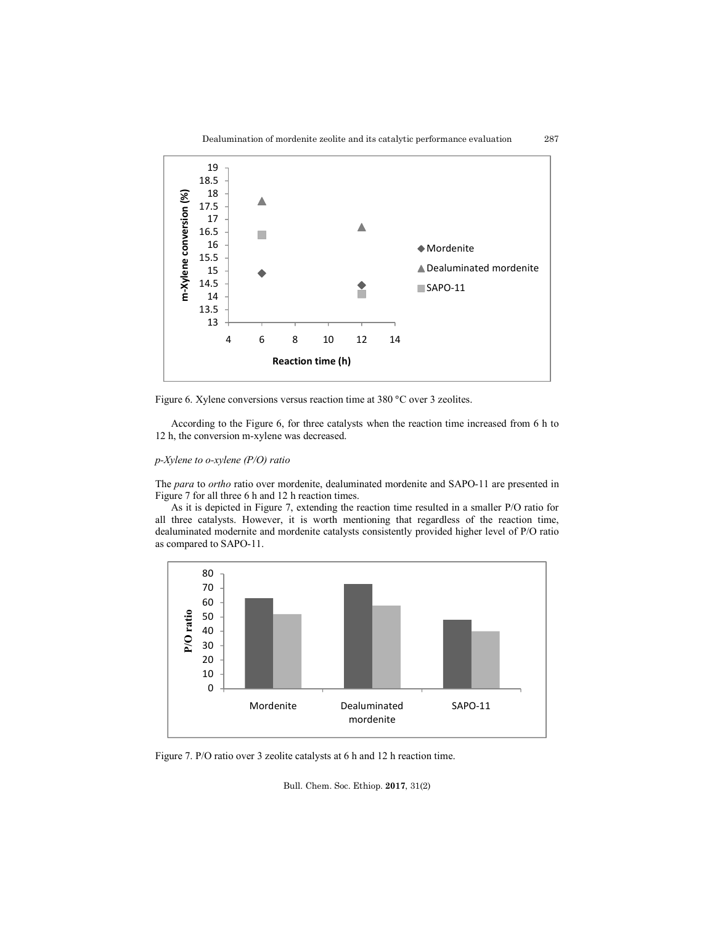

Figure 6. Xylene conversions versus reaction time at 380 °C over 3 zeolites.

According to the Figure 6, for three catalysts when the reaction time increased from 6 h to 12 h, the conversion m-xylene was decreased.

# *p-Xylene to o-xylene (P/O) ratio*

The *para* to *ortho* ratio over mordenite, dealuminated mordenite and SAPO-11 are presented in Figure 7 for all three 6 h and 12 h reaction times.

As it is depicted in Figure 7, extending the reaction time resulted in a smaller P/O ratio for all three catalysts. However, it is worth mentioning that regardless of the reaction time, dealuminated modernite and mordenite catalysts consistently provided higher level of P/O ratio as compared to SAPO-11.



Figure 7. P/O ratio over 3 zeolite catalysts at 6 h and 12 h reaction time.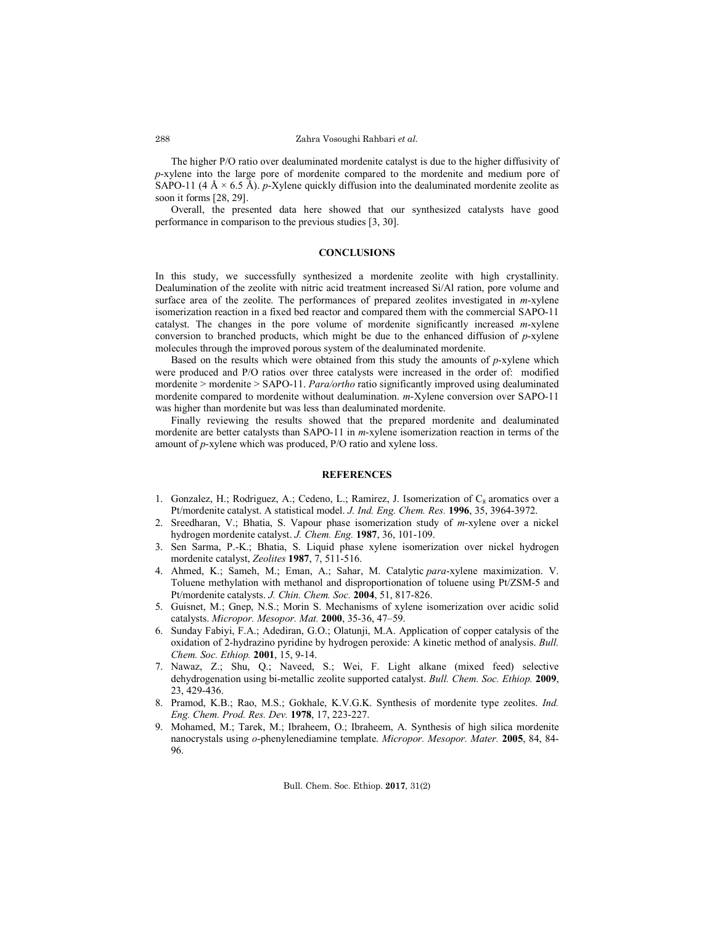The higher P/O ratio over dealuminated mordenite catalyst is due to the higher diffusivity of *p*-xylene into the large pore of mordenite compared to the mordenite and medium pore of SAPO-11 (4 Å  $\times$  6.5 Å). *p*-Xylene quickly diffusion into the dealuminated mordenite zeolite as soon it forms [28, 29].

Overall, the presented data here showed that our synthesized catalysts have good performance in comparison to the previous studies [3, 30].

#### **CONCLUSIONS**

In this study, we successfully synthesized a mordenite zeolite with high crystallinity. Dealumination of the zeolite with nitric acid treatment increased Si/Al ration, pore volume and surface area of the zeolite. The performances of prepared zeolites investigated in *m*-xylene isomerization reaction in a fixed bed reactor and compared them with the commercial SAPO-11 catalyst. The changes in the pore volume of mordenite significantly increased *m*-xylene conversion to branched products, which might be due to the enhanced diffusion of *p*-xylene molecules through the improved porous system of the dealuminated mordenite.

Based on the results which were obtained from this study the amounts of *p*-xylene which were produced and P/O ratios over three catalysts were increased in the order of: modified mordenite > mordenite > SAPO-11. *Para/ortho* ratio significantly improved using dealuminated mordenite compared to mordenite without dealumination. *m*-Xylene conversion over SAPO-11 was higher than mordenite but was less than dealuminated mordenite.

Finally reviewing the results showed that the prepared mordenite and dealuminated mordenite are better catalysts than SAPO-11 in *m*-xylene isomerization reaction in terms of the amount of *p*-xylene which was produced, P/O ratio and xylene loss.

## **REFERENCES**

- 1. Gonzalez, H.; Rodriguez, A.; Cedeno, L.; Ramirez, J. Isomerization of  $C_8$  aromatics over a Pt/mordenite catalyst. A statistical model. *J. Ind. Eng. Chem. Res.* **1996**, 35, 3964-3972.
- 2. Sreedharan, V.; Bhatia, S. Vapour phase isomerization study of *m*-xylene over a nickel hydrogen mordenite catalyst. *J. Chem. Eng.* **1987**, 36, 101-109.
- 3. Sen Sarma, P.-K.; Bhatia, S. Liquid phase xylene isomerization over nickel hydrogen mordenite catalyst, *Zeolites* **1987**, 7, 511-516.
- 4. Ahmed, K.; Sameh, M.; Eman, A.; Sahar, M. Catalytic *para*-xylene maximization. V. Toluene methylation with methanol and disproportionation of toluene using Pt/ZSM-5 and Pt/mordenite catalysts. *J. Chin. Chem. Soc.* **2004**, 51, 817-826.
- 5. Guisnet, M.; Gnep, N.S.; Morin S. Mechanisms of xylene isomerization over acidic solid catalysts. *Micropor. Mesopor. Mat.* **2000**, 35-36, 47–59.
- 6. Sunday Fabiyi, F.A.; Adediran, G.O.; Olatunji, M.A. Application of copper catalysis of the oxidation of 2-hydrazino pyridine by hydrogen peroxide: A kinetic method of analysis. *Bull. Chem. Soc. Ethiop.* **2001**, 15, 9-14.
- 7. Nawaz, Z.; Shu, Q.; Naveed, S.; Wei, F. Light alkane (mixed feed) selective dehydrogenation using bi-metallic zeolite supported catalyst. *Bull. Chem. Soc. Ethiop.* **2009**, 23, 429-436.
- 8. Pramod, K.B.; Rao, M.S.; Gokhale, K.V.G.K. Synthesis of mordenite type zeolites. *Ind. Eng. Chem. Prod. Res. Dev.* **1978**, 17, 223-227.
- 9. Mohamed, M.; Tarek, M.; Ibraheem, O.; Ibraheem, A. Synthesis of high silica mordenite nanocrystals using *o*-phenylenediamine template. *Micropor. Mesopor. Mater.* **2005**, 84, 84- 96.

288